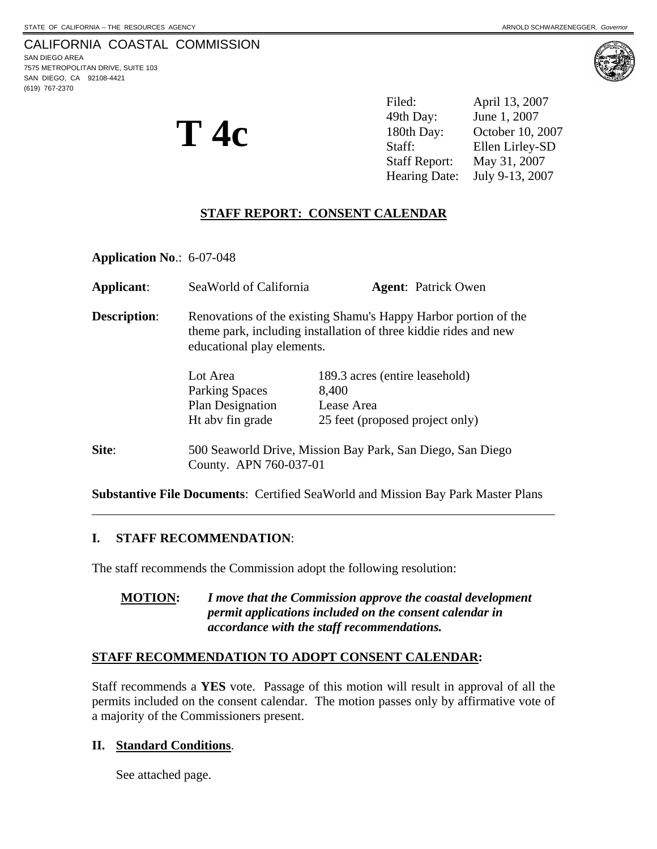## CALIFORNIA COASTAL COMMISSION

SAN DIEGO AREA 7575 METROPOLITAN DRIVE, SUITE 103 SAN DIEGO, CA 92108-4421 (619) 767-2370

 $\overline{a}$ 



**T 4c** 

Filed: April 13, 2007 49th Day: June 1, 2007 180th Day: October 10, 2007 Staff: Ellen Lirley-SD Staff Report: May 31, 2007 Hearing Date: July 9-13, 2007

## **STAFF REPORT: CONSENT CALENDAR**

**Application No**.: 6-07-048

| <b>Applicant:</b>   | SeaWorld of California                                                                                                                                            | <b>Agent:</b> Patrick Owen      |
|---------------------|-------------------------------------------------------------------------------------------------------------------------------------------------------------------|---------------------------------|
| <b>Description:</b> | Renovations of the existing Shamu's Happy Harbor portion of the<br>theme park, including installation of three kiddie rides and new<br>educational play elements. |                                 |
|                     | Lot Area                                                                                                                                                          | 189.3 acres (entire leasehold)  |
|                     | <b>Parking Spaces</b>                                                                                                                                             | 8,400                           |
|                     | Plan Designation                                                                                                                                                  | Lease Area                      |
|                     | Ht abv fin grade                                                                                                                                                  | 25 feet (proposed project only) |
| Site:               | 500 Seaworld Drive, Mission Bay Park, San Diego, San Diego<br>County. APN 760-037-01                                                                              |                                 |

**Substantive File Documents**: Certified SeaWorld and Mission Bay Park Master Plans

#### **I. STAFF RECOMMENDATION**:

The staff recommends the Commission adopt the following resolution:

**MOTION:** *I move that the Commission approve the coastal development permit applications included on the consent calendar in accordance with the staff recommendations.* 

#### **STAFF RECOMMENDATION TO ADOPT CONSENT CALENDAR:**

Staff recommends a **YES** vote. Passage of this motion will result in approval of all the permits included on the consent calendar. The motion passes only by affirmative vote of a majority of the Commissioners present.

#### **II. Standard Conditions**.

See attached page.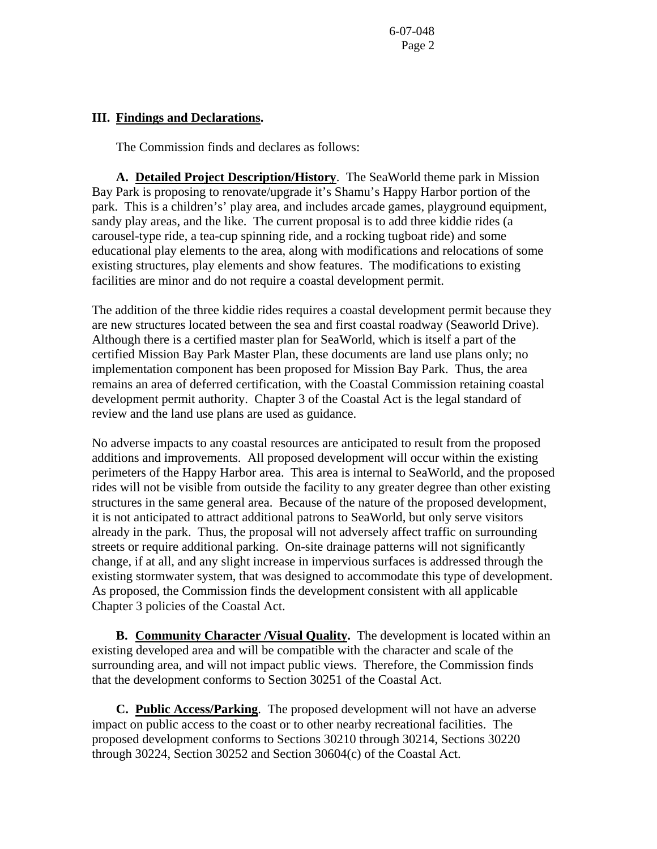6-07-048 Page 2

#### **III. Findings and Declarations.**

The Commission finds and declares as follows:

**A. Detailed Project Description/History**. The SeaWorld theme park in Mission Bay Park is proposing to renovate/upgrade it's Shamu's Happy Harbor portion of the park. This is a children's' play area, and includes arcade games, playground equipment, sandy play areas, and the like. The current proposal is to add three kiddie rides (a carousel-type ride, a tea-cup spinning ride, and a rocking tugboat ride) and some educational play elements to the area, along with modifications and relocations of some existing structures, play elements and show features. The modifications to existing facilities are minor and do not require a coastal development permit.

The addition of the three kiddie rides requires a coastal development permit because they are new structures located between the sea and first coastal roadway (Seaworld Drive). Although there is a certified master plan for SeaWorld, which is itself a part of the certified Mission Bay Park Master Plan, these documents are land use plans only; no implementation component has been proposed for Mission Bay Park. Thus, the area remains an area of deferred certification, with the Coastal Commission retaining coastal development permit authority. Chapter 3 of the Coastal Act is the legal standard of review and the land use plans are used as guidance.

No adverse impacts to any coastal resources are anticipated to result from the proposed additions and improvements. All proposed development will occur within the existing perimeters of the Happy Harbor area. This area is internal to SeaWorld, and the proposed rides will not be visible from outside the facility to any greater degree than other existing structures in the same general area. Because of the nature of the proposed development, it is not anticipated to attract additional patrons to SeaWorld, but only serve visitors already in the park. Thus, the proposal will not adversely affect traffic on surrounding streets or require additional parking. On-site drainage patterns will not significantly change, if at all, and any slight increase in impervious surfaces is addressed through the existing stormwater system, that was designed to accommodate this type of development. As proposed, the Commission finds the development consistent with all applicable Chapter 3 policies of the Coastal Act.

 **B. Community Character /Visual Quality.** The development is located within an existing developed area and will be compatible with the character and scale of the surrounding area, and will not impact public views. Therefore, the Commission finds that the development conforms to Section 30251 of the Coastal Act.

**C. Public Access/Parking**. The proposed development will not have an adverse impact on public access to the coast or to other nearby recreational facilities. The proposed development conforms to Sections 30210 through 30214, Sections 30220 through 30224, Section 30252 and Section 30604(c) of the Coastal Act.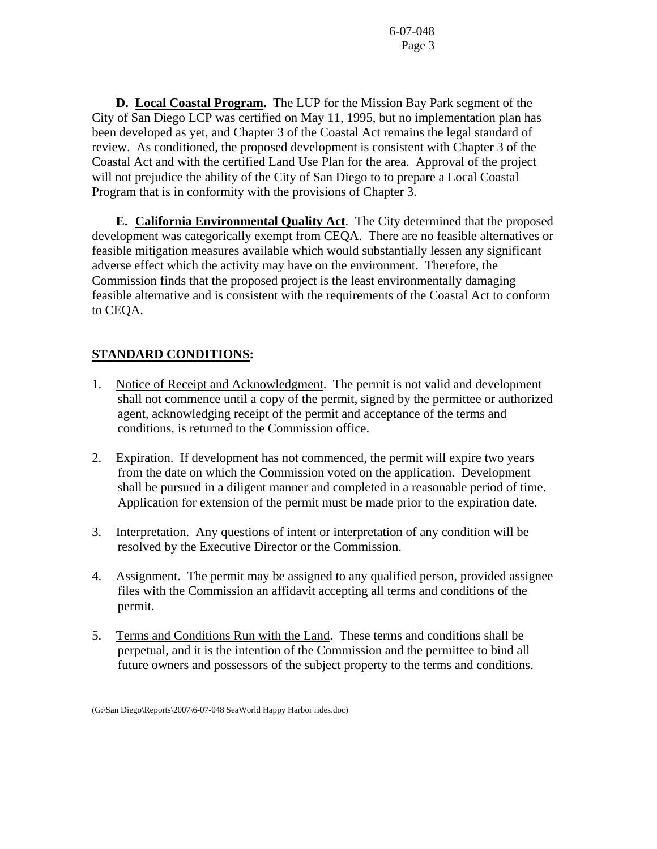**D. Local Coastal Program.** The LUP for the Mission Bay Park segment of the City of San Diego LCP was certified on May 11, 1995, but no implementation plan has been developed as yet, and Chapter 3 of the Coastal Act remains the legal standard of review. As conditioned, the proposed development is consistent with Chapter 3 of the Coastal Act and with the certified Land Use Plan for the area. Approval of the project will not prejudice the ability of the City of San Diego to to prepare a Local Coastal Program that is in conformity with the provisions of Chapter 3.

 **E. California Environmental Quality Act**. The City determined that the proposed development was categorically exempt from CEQA. There are no feasible alternatives or feasible mitigation measures available which would substantially lessen any significant adverse effect which the activity may have on the environment. Therefore, the Commission finds that the proposed project is the least environmentally damaging feasible alternative and is consistent with the requirements of the Coastal Act to conform to CEQA.

# **STANDARD CONDITIONS:**

- 1. Notice of Receipt and Acknowledgment. The permit is not valid and development shall not commence until a copy of the permit, signed by the permittee or authorized agent, acknowledging receipt of the permit and acceptance of the terms and conditions, is returned to the Commission office.
- 2. Expiration. If development has not commenced, the permit will expire two years from the date on which the Commission voted on the application. Development shall be pursued in a diligent manner and completed in a reasonable period of time. Application for extension of the permit must be made prior to the expiration date.
- 3. Interpretation. Any questions of intent or interpretation of any condition will be resolved by the Executive Director or the Commission.
- 4. Assignment. The permit may be assigned to any qualified person, provided assignee files with the Commission an affidavit accepting all terms and conditions of the permit.
- 5. Terms and Conditions Run with the Land. These terms and conditions shall be perpetual, and it is the intention of the Commission and the permittee to bind all future owners and possessors of the subject property to the terms and conditions.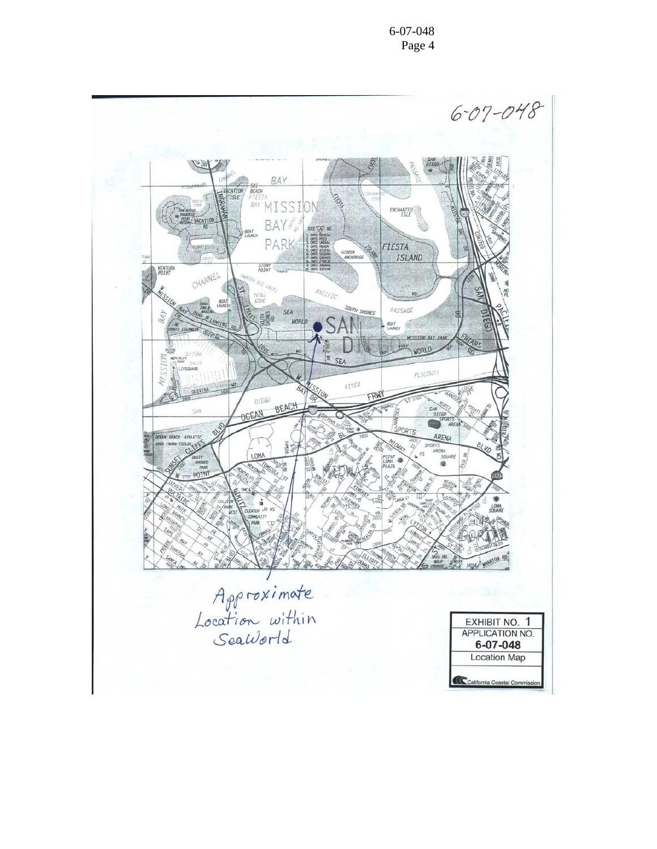6-07-048 Page 4